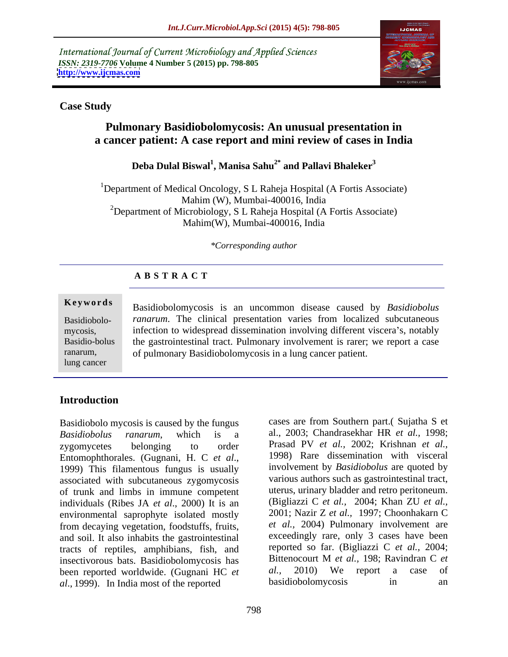International Journal of Current Microbiology and Applied Sciences *ISSN: 2319-7706* **Volume 4 Number 5 (2015) pp. 798-805 <http://www.ijcmas.com>**



### **Case Study**

# **Pulmonary Basidiobolomycosis: An unusual presentation in a cancer patient: A case report and mini review of cases in India**

### **Deba Dulal Biswal<sup>1</sup> , Manisa Sahu2\* and Pallavi Bhaleker3**

<sup>1</sup>Department of Medical Oncology, S L Raheja Hospital (A Fortis Associate) Mahim (W), Mumbai-400016, India <sup>2</sup>Department of Microbiology, S L Raheja Hospital (A Fortis Associate) Mahim(W), Mumbai-400016, India

### *\*Corresponding author*

## **A B S T R A C T**

lung cancer

**Keywords** Basidiobolomycosis is an uncommon disease caused by *Basidiobolus* Basidiobolo- ranarum. The clinical presentation varies from localized subcutaneous mycosis, infection to widespread dissemination involving different viscera's, notably Basidio-bolus the gastrointestinal tract. Pulmonary involvement is rarer; we report a case of pulmonary Basidiobolomycosis in a lung cancer patient. ranarum,

# **Introduction**

Basidiobolo mycosis is caused by the fungus *Basidiobolus ranarum*, which is a al., 2003; Chandrasekhar HR *et al.,* 1998; zygomycetes belonging to order Prasad PV *et al.,* 2002; Krishnan *et al.,* Entomophthorales. (Gugnani, H. C *et al*., 1999) This filamentous fungus is usually associated with subcutaneous zygomycosis of trunk and limbs in immune competent individuals (Ribes JA *et al*., 2000) It is an environmental saprophyte isolated mostly from decaying vegetation, foodstuffs, fruits, and soil. It also inhabits the gastrointestinal tracts of reptiles, amphibians, fish, and reported so far. (Bigliazzi C *et al.*, 2004;<br>insectivorous hats. Basidiobolomycosis has Bittenocourt M *et al.*, 198; Ravindran C *et* insectivorous bats. Basidiobolomycosis has Bittenocourt M *et al.*, 198; Ravindran C *et* been reported worldwide (Gugnani HC *et al.*, 2010) We report a case of been reported worldwide. (Gugnani HC *et al.*, 2010) We report a <br>al 1999) In India most of the reported basidiobolomycosis in *al*., 1999). In India most of the reported

cases are from Southern part.( Sujatha S et 1998) Rare dissemination with visceral involvement by *Basidiobolus* are quoted by various authors such as gastrointestinal tract, uterus, urinary bladder and retro peritoneum. (Bigliazzi C *et al.,* 2004; Khan ZU *et al.,* 2001; Nazir Z *et al.,* 1997; Choonhakarn C *et al.,* 2004) Pulmonary involvement are exceedingly rare, only 3 cases have been reported so far. (Bigliazzi C *et al.,* 2004; Bittenocourt M *et al.,* 198; Ravindran C *et al.,* 2010) We report a case of basidiobolomycosis in an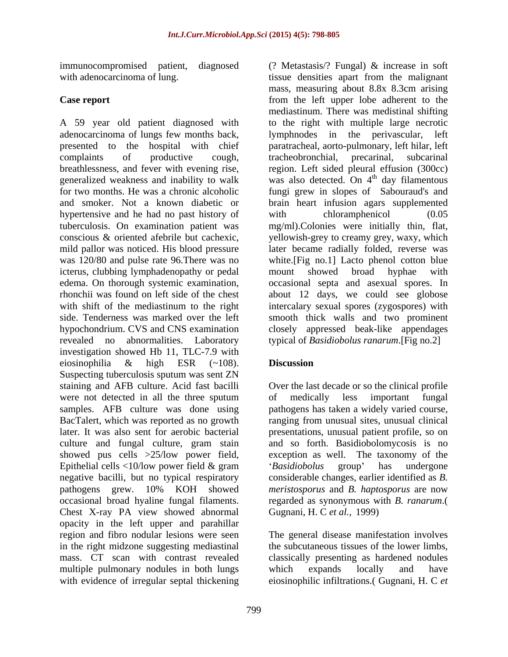A 59 year old patient diagnosed with adenocarcinoma of lungs few months back, presented to the hospital with chief paratracheal, aorto-pulmonary, left hilar, left complaints of productive cough, breathlessness, and fever with evening rise, generalized weakness and inability to walk was also detected. On 4<sup>th</sup> day filamentous for two months. He was a chronic alcoholic fungi grew in slopes of Sabouraud's and and smoker. Not a known diabetic or brain heart infusion agars supplemented hypertensive and he had no past history of with chloramphenicol (0.05 tuberculosis. On examination patient was mg/ml).Colonies were initially thin, flat, conscious & oriented afebrile but cachexic, yellowish-grey to creamy grey, waxy, which mild pallor was noticed. His blood pressure later became radially folded, reverse was was 120/80 and pulse rate 96. There was no white. [Fig no.1] Lacto phenol cotton blue icterus, clubbing lymphadenopathy or pedal edema. On thorough systemic examination, occasional septa and asexual spores. In rhonchii was found on left side of the chest about 12 days, we could see globose with shift of the mediastinum to the right intercalary sexual spores (zygospores) with side. Tenderness was marked over the left smooth thick walls and two prominent hypochondrium. CVS and CNS examination closely appressed beak-like appendages revealed no abnormalities. Laboratory typical of *Basidiobolus ranarum*.[Fig no.2] investigation showed Hb 11, TLC-7.9 with eiosinophilia & high ESR (~108). **Discussion** Suspecting tuberculosis sputum was sent ZN staining and AFB culture. Acid fast bacilli Over the last decade or so the clinical profile were not detected in all the three sputum of medically less important fungal samples. AFB culture was done using pathogens has taken a widely varied course, BacTalert, which was reported as no growth ranging from unusual sites, unusual clinical later. It was also sent for aerobic bacterial presentations, unusual patient profile, so on culture and fungal culture, gram stain and so forth. Basidiobolomycosis is no showed pus cells >25/low power field, Epithelial cells <10/low power field & gram  $\qquad \qquad$  'Basidiobolus group' has undergone negative bacilli, but no typical respiratory pathogens grew. 10% KOH showed meristosporus and B. haptosporus are now occasional broad hyaline fungal filaments. regarded as synonymous with *B. ranarum*.( Chest X-ray PA view showed abnormal Gugnani, H. C et al., 1999) opacity in the left upper and parahillar region and fibro nodular lesions were seen The general disease manifestation involves in the right midzone suggesting mediastinal mass. CT scan with contrast revealed classically presenting as hardened nodules multiple pulmonary nodules in both lungs which expands locally and have with evidence of irregular septal thickening

immunocompromised patient, diagnosed (? Metastasis/? Fungal) & increase in soft with adenocarcinoma of lung. The same state of the malignant state of lung. **Case report** from the left upper lobe adherent to the mass, measuring about 8.8x 8.3cm arising mediastinum. There was medistinal shifting to the right with multiple large necrotic lymphnodes in the perivascular, tracheobronchial, precarinal, subcarinal region. Left sided pleural effusion (300cc) <sup>th</sup> day filamentous with chloramphenicol (0.05 mount showed broad hyphae with

# **Discussion**

of medically less important fungal exception as well. The taxonomy of the *Basidiobolus* group' has undergone considerable changes, earlier identified as *B. meristosporus* and *B. haptosporus* are now Gugnani, H. C *et al.,* 1999)

the subcutaneous tissues of the lower limbs, which expands locally and have eiosinophilic infiltrations.( Gugnani, H. C *et*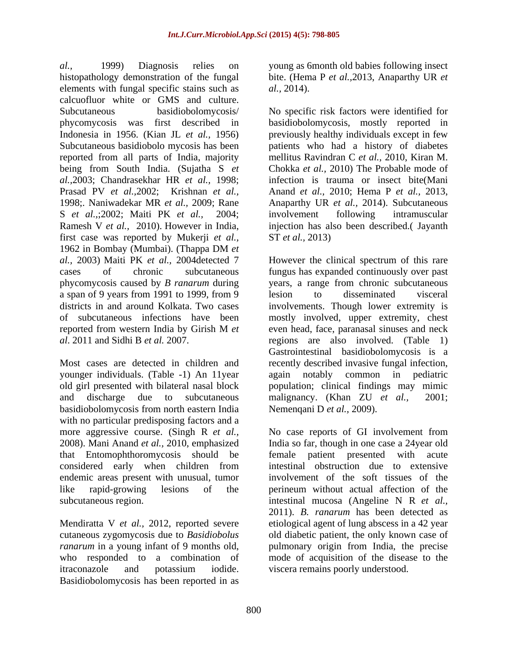*al.,* 1999) Diagnosis relies on young as 6month old babies following insect histopathology demonstration of the fungal bite. (Hema P *et al.,*2013, AnaparthyUR *et*  elements with fungal specific stains such as  $al., 2014$ . calcuofluor white or GMS and culture. Subcutaneous basidiobolomycosis/ No specific risk factors were identified for phycomycosis was first described in basidiobolomycosis, mostly reported in Indonesia in 1956. (Kian JL *et al.,* 1956) previously healthy individuals except in few Subcutaneous basidiobolo mycosis has been patients who had a history of diabetes reported from all parts of India, majority being from South India. (Sujatha S *et al.,*2003; Chandrasekhar HR *et al.,* 1998; Prasad PV *et al.,*2002; Krishnan *et al.,* Anand *et al.,* 2010; Hema P *et al.,* 2013, 1998; Naniwadekar MR *et al.*, 2009; Rane Anaparthy UR *et al.*, 2014). Subcutaneous S *et al.,*;2002; Maiti PK *et al.,* 2004; Ramesh V *et al.*, 2010). However in India, injection has also been described.(Jayanth first case was reported by Mukerji *et al.,* 1962 in Bombay (Mumbai). (Thappa DM *et*  a span of 9 years from 1991 to 1999, from 9

younger individuals. (Table -1) An 11year again notably common in pediatric and discharge due to subcutaneous malignancy. (Khan ZU *et al.*, 2001; basidiobolomycosis from north eastern India with no particular predisposing factors and a that Entomophthoromycosis should be

itraconazole and potassium iodide. Basidiobolomycosis has been reported in as

*al.,* 2014).

mellitus Ravindran C *et al.,* 2010, Kiran M. Chokka *et al.,* 2010) The Probable mode of infection is trauma or insect bite(Mani involvement following intramuscular ST *et al.,* 2013)

*al.,* 2003) Maiti PK *et al.,* 2004detected 7 However the clinical spectrum of this rare cases of chronic subcutaneous fungus has expanded continuously over past phycomycosis caused by *B ranarum* during years, a range from chronic subcutaneous districts in and around Kolkata. Two cases involvements. Though lower extremity is of subcutaneous infections have been mostly involved, upper extremity, chest reported from western India by Girish M *et al*. 2011 and Sidhi B *et al.* 2007. regions are also involved. (Table 1) Most cases are detected in children and recently described invasive fungal infection, old girl presented with bilateral nasal block population; clinical findings may mimic lesion to disseminated visceral even head, face, paranasal sinuses and neck Gastrointestinal basidiobolomycosis is a again notably common in pediatric malignancy. (Khan ZU *et al.,* 2001; Nemenqani D *et al.,* 2009).

more aggressive course. (Singh R *et al.,* No case reports of GI involvement from 2008). Mani Anand *et al.,* 2010, emphasized India so far, though in one casea 24year old considered early when children from endemic areas present with unusual, tumor involvement of the soft tissues of the like rapid-growing lesions of the perineum without actual affection of the subcutaneous region. intestinal mucosa (Angeline N R *et al.,* Mendiratta V *et al.*, 2012, reported severe etiological agent of lung abscess in a 42 year cutaneous zygomycosis due to *Basidiobolus*  old diabetic patient, the only known case of *ranarum* in a young infant of 9 months old, pulmonary origin from India, the precise who responded to a combination of mode of acquisition of the disease to the patient presented with acute intestinal obstruction due to extensive 2011). *B. ranarum* has been detected as viscera remains poorly understood.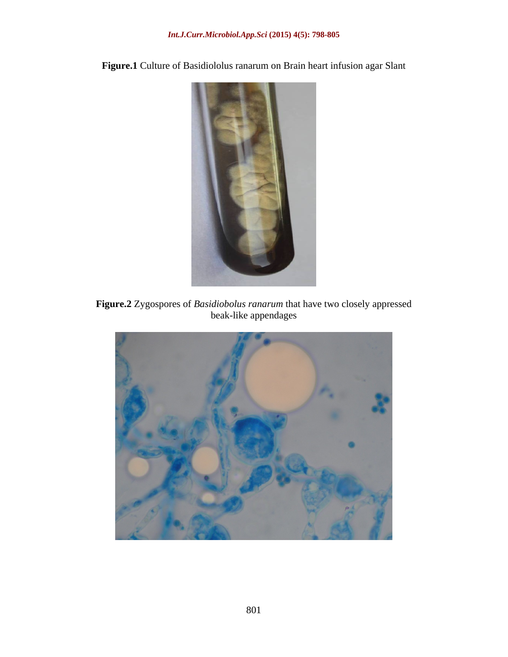

**Figure.1** Culture of Basidiololus ranarum on Brain heart infusion agar Slant

**Figure.2** Zygospores of *Basidiobolus ranarum* that have two closely appressed beak-like appendages

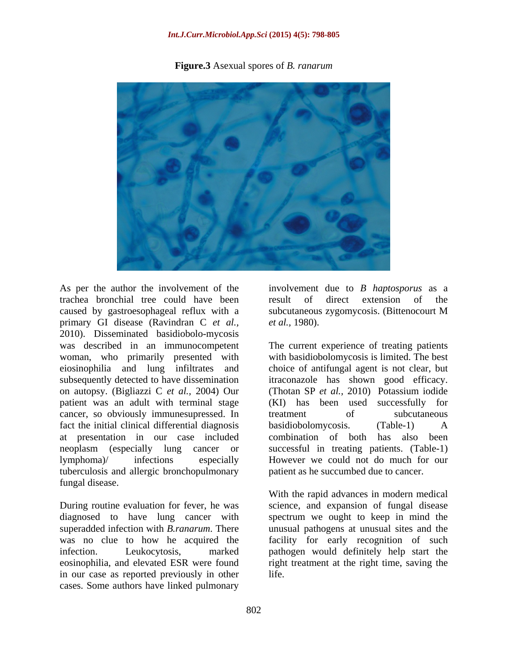### *Int.J.Curr.Microbiol.App.Sci* **(2015) 4(5): 798-805**





As per the author the involvement of the involvement due to *B haptosporus* as a trachea bronchial tree could have been caused by gastroesophageal reflux with a subcutaneous zygomycosis. (Bittenocourt M primary GI disease (Ravindran C *et al.,* 2010). Disseminated basidiobolo-mycosis was described in an immunocompetent woman, who primarily presented with with basidiobolomycosis is limited. The best eiosinophilia and lung infiltrates and choice of antifungal agent is not clear, but subsequently detected to have dissemination itraconazole has shown good efficacy. on autopsy. (Bigliazzi C *et al.,* 2004) Our patient was an adult with terminal stage cancer, so obviously immunesupressed. In fact the initial clinical differential diagnosis basidiobolomycosis. (Table-1) A at presentation in our case included neoplasm (especially lung cancer or lymphoma)/ infections especially However we could not do much for our tuberculosis and allergic bronchopulmonary fungal disease.

During routine evaluation for fever, he was science, and expansion of fungal disease diagnosed to have lung cancer with spectrum we ought to keep in mind the superadded infection with *B.ranarum*. There unusual pathogens at unusual sites and the was no clue to how he acquired the facility for early recognition of such infection. Leukocytosis, marked pathogen would definitely help start the eosinophilia, and elevated ESR were found right treatment at the right time, saving the in our case as reported previously in other cases. Some authors have linked pulmonary

result of direct extension of the subcutaneous zygomycosis. (Bittenocourt M *et al.,* 1980).

The current experience of treating patients (Thotan SP *et al.,* 2010) Potassium iodide (KI) has been used successfully for treatment of subcutaneous basidiobolomycosis. (Table-1) A combination of both has also been successful in treating patients. (Table-1) patient as he succumbed due to cancer.

With the rapid advances in modern medical life.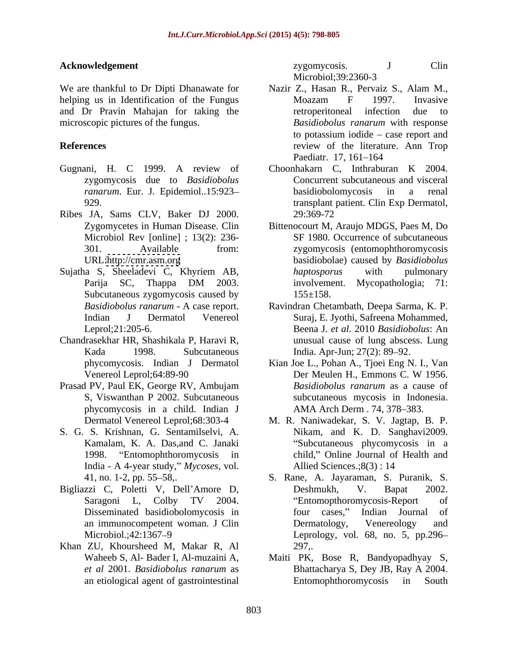We are thankful to Dr Dipti Dhanawate for Nazir Z., Hasan R., Pervaiz S., Alam M., helping us in Identification of the Fungus Moazam F 1997. Invasive and Dr Pravin Mahajan for taking the

- Gugnani, H. C 1999. A review of zygomycosis due to *Basidiobolus*
- Ribes JA, Sams CLV, Baker DJ 2000.
- Subcutaneous zygomycosis caused by  $155 \pm 158$ .
- Chandrasekhar HR, Shashikala P, Haravi R,
- Prasad PV, Paul EK, George RV, Ambujam Basidiobolus ranarum as a cause of phycomycosis in a child. Indian J
- India A 4-year study," *Mycoses*, vol. Allied Sciences.; 8(3): 14
- 
- Khan ZU, Khoursheed M, Makar R, Al

**Acknowledgement** 2ygomycosis. J Clin zygomycosis. J Clin Microbiol;39:2360-3

- microscopic pictures of the fungus. *Basidiobolus ranarum* with response **References** review of the literature. Ann Trop Nazir Z., Hasan R., Pervaiz S., Alam M., Moazam F 1997. Invasive retroperitoneal infection due to to potassium iodide  $-$  case report and Paediatr. 17, 161–164
	- *ranarum*. Eur. J. Epidemiol..15:923-<br>basidiobolomycosis in a renal 929. transplant patient. Clin Exp Dermatol, Choonhakarn C, Inthraburan K 2004. Concurrent subcutaneous and visceral basidiobolomycosis in a renal 29:369-72
- Zygomycetes in Human Disease. Clin Bittenocourt M, Araujo MDGS, Paes M, Do Microbiol Rev [online] ; 13(2): 236- SF 1980. Occurrence of subcutaneous 301. Available from: zygomycosis (entomophthoromycosis URL[:http://cmr.asm.org](http://cmr.asm.org) basidiobolae) caused by *Basidiobolus*  Sujatha S, Sheeladevi C, Khyriem AB, haptosporus with pulmonary Parija SC, Thappa DM 2003. involvement. Mycopathologia; 71: *haptosporus* with pulmonary involvement. Mycopathologia; 71:  $155 \pm 158$ .
	- *Basidiobolus ranarum* A case report. Ravindran Chetambath, Deepa Sarma, K. P. Indian J Dermatol Venereol Suraj, E. Jyothi, Safreena Mohammed, Leprol;21:205-6. Beena J. *et al*. 2010 *Basidiobolus*: An Kada 1998. Subcutaneous India. Apr-Jun; 27(2): 89–92. unusual cause of lung abscess. Lung
	- phycomycosis. Indian J Dermatol Kian Joe L., Pohan A., Tjoei Eng N. I., Van Venereol Leprol; 64:89-90 Der Meulen H., Emmons C. W 1956. S, Viswanthan P 2002. Subcutaneous subcutaneous mycosis in Indonesia. Der Meulen H., Emmons C. W 1956. *Basidiobolus ranarum* as a cause of AMA Arch Derm . 74, 378-383.
- Dermatol Venereol Leprol;68:303-4 M. R. Naniwadekar, S. V. Jagtap, B. P. S. G. S. Krishnan, G. Sentamilselvi, A. Nikam, and K. D. Sanghavi2009. Kamalam, K. A. Das,and C. Janaki Subcutaneous phycomycosis in a 1998. "Entomophthoromycosis in child," Online Journal of Health and Allied Sciences.;  $8(3)$  : 14
- 41, no. 1-2, pp. 55 58,. S. Rane, A. Jayaraman, S. Puranik, S. Bigliazzi C, Poletti V, Dell'Amore D, Deshmukh, V. Bapat 2002. Saragoni L, Colby TV 2004. Disseminated basidiobolomycosis in four cases," Indian Journal of an immunocompetent woman. J Clin Dermatology, Venereology and Microbiol.;42:1367 9 Leprology, vol. 68, no. 5, pp.296 Deshmukh, V. Bapat 2002. Entomopthoromycosis-Report of four cases," Indian Journal Dermatology, Venereology and 297,.
	- Waheeb S, Al- Bader I, Al-muzaini A, Maiti PK, Bose R, Bandyopadhyay S, *et al* 2001. *Basidiobolus ranarum* as Bhattacharya S, Dey JB, Ray A 2004. an etiological agent of gastrointestinal Entomophthoromycosis in South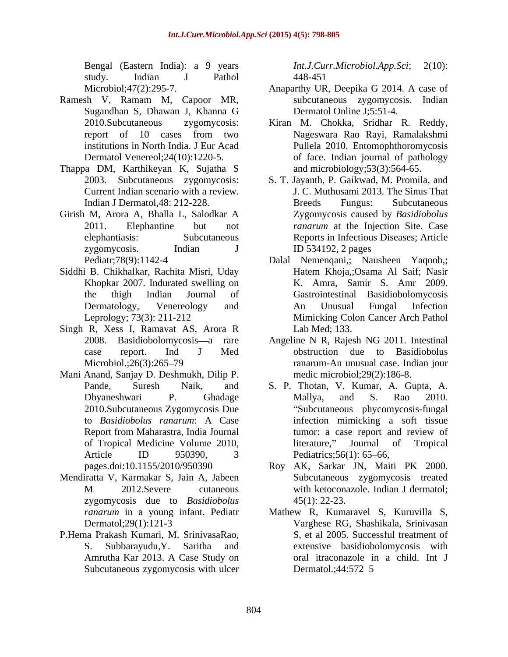study. Indian J Pathol

- Ramesh V, Ramam M, Capoor MR,
- Thappa DM, Karthikeyan K, Sujatha S
- Girish M, Arora A, Bhalla L, Salodkar A
- Siddhi B. Chikhalkar, Rachita Misri, Uday Khopkar 2007. Indurated swelling on
- Singh R, Xess I, Ramavat AS, Arora R
- Mani Anand, Sanjay D. Deshmukh, Dilip P.
- Mendiratta V, Karmakar S, Jain A, Jabeen zygomycosis due to *Basidiobolus*
- P.Hema Prakash Kumari, M. SrinivasaRao, Subcutaneous zygomycosis with ulcer Dermatol.;44:572–5

Bengal (Eastern India): a 9 years *Int.J.Curr.Microbiol.App.Sci*; 2(10): *Int.J.Curr.Microbiol.App.Sci*; 2(10): 448-451

- Microbiol;47(2):295-7. Anaparthy UR, Deepika G 2014. A case of Sugandhan S, Dhawan J, Khanna G subcutaneous zygomycosis. Indian Dermatol Online J;5:51-4.
- 2010.Subcutaneous zygomycosis: Kiran M. Chokka, Sridhar R. Reddy, report of 10 cases from two institutions in North India. J Eur Acad Pullela 2010. Entomophthoromycosis Dermatol Venereol;24(10):1220-5. of face. Indian journal of pathology Nageswara Rao Rayi, Ramalakshmi and microbiology;53(3):564-65.
- 2003. Subcutaneous zygomycosis: S. T. Jayanth, P. Gaikwad, M. Promila, and Current Indian scenario with a review. J. C. Muthusami 2013. The Sinus That Indian J Dermatol,48: 212-228. 2011. Elephantine but not *ranarum* at the Injection Site. Case elephantiasis: Subcutaneous Reports in Infectious Diseases; Article zygomycosis. Indian J ID 534192, 2 pages Breeds Fungus: Subcutaneous Zygomycosis caused by *Basidiobolus*  ID 534192, 2 pages
- Pediatr;78(9):1142-4 Dalal Nemenqani,; Nausheen Yaqoob,; the thigh Indian Journal of Gastrointestinal Basidiobolomycosis Dermatology, Venereology and Leprology; 73(3): 211-212 Mimicking Colon Cancer Arch Pathol Hatem Khoja,;Osama Al Saif; Nasir K. Amra, Samir S. Amr 2009. An Unusual Fungal Infection Lab Med; 133.
- 2008. Basidiobolomycosis—a rare Angeline N R, Rajesh NG 2011. Intestinal case report. Ind J Med obstruction due to Basidiobolus Microbiol.;26(3):265 79 ranarum-An unusual case. Indian jour medic microbiol;29(2):186-8.
- Pande, Suresh Naik, and S. P. Thotan, V. Kumar, A. Gupta, A. Dhyaneshwari P. Ghadage Mallya, and S. Rao 2010. 2010.Subcutaneous Zygomycosis Due Subcutaneous phycomycosis-fungal to *Basidiobolus ranarum*: A Case infection mimicking a soft tissue Report from Maharastra, India Journal tumor: a case report and review of of Tropical Medicine Volume 2010, Article ID 950390, 3 Pediatrics;56(1): 65–66, Mallya, and S. Rao 2010. literature," Journal of Tropical Pediatrics;  $56(1)$ :  $65-66$ ,
- pages.doi:10.1155/2010/950390 Roy AK, Sarkar JN, Maiti PK 2000. M 2012.Severe cutaneous with ketoconazole. Indian J dermatol; Subcutaneous zygomycosis treated with ketoconazole. Indian J dermatol;  $45(1)$ : 22-23.
- *ranarum* in a young infant. Pediatr Mathew R, Kumaravel S, Kuruvilla S, Dermatol;29(1):121-3 Varghese RG, Shashikala, Srinivasan S. Subbarayudu,Y. Saritha and extensive basidiobolomycosis with Amrutha Kar 2013. A Case Study on S, et al 2005. Successful treatment of oral itraconazole in a child. Int J Dermatol.;44:572–5